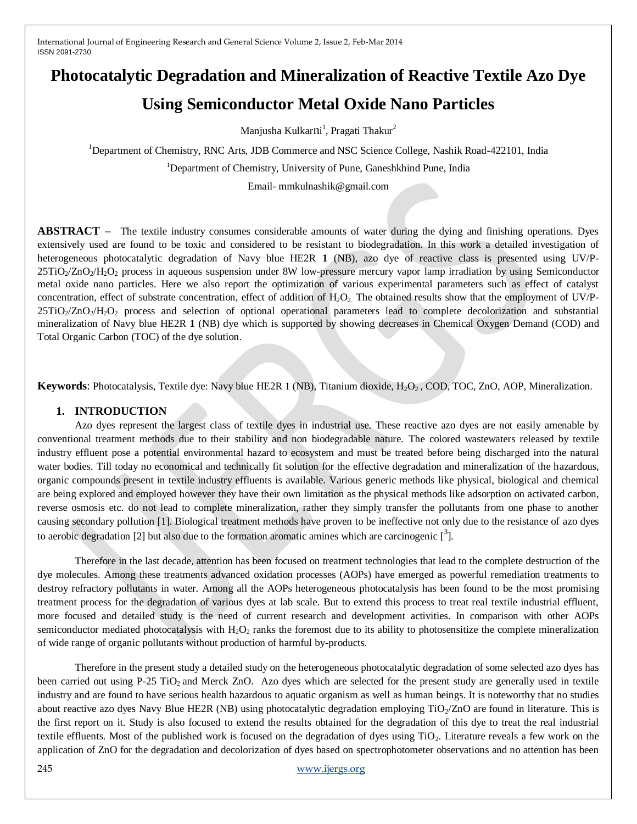# **Photocatalytic Degradation and Mineralization of Reactive Textile Azo Dye Using Semiconductor Metal Oxide Nano Particles**

Manjusha Kulkar $\mathrm{ni}^1$ , Pragati Thakur $^2$ 

<sup>1</sup>Department of Chemistry, RNC Arts, JDB Commerce and NSC Science College, Nashik Road-422101, India

<sup>1</sup>Department of Chemistry, University of Pune, Ganeshkhind Pune, India

Email- mmkulnashik@gmail.com

**ABSTRACT –** The textile industry consumes considerable amounts of water during the dying and finishing operations. Dyes extensively used are found to be toxic and considered to be resistant to biodegradation. In this work a detailed investigation of heterogeneous photocatalytic degradation of Navy blue HE2R **1** (NB), azo dye of reactive class is presented using UV/P- $25TiO<sub>2</sub>/ZnO<sub>2</sub>/H<sub>2</sub>O<sub>2</sub>$  process in aqueous suspension under 8W low-pressure mercury vapor lamp irradiation by using Semiconductor metal oxide nano particles. Here we also report the optimization of various experimental parameters such as effect of catalyst concentration, effect of substrate concentration, effect of addition of  $H_2O_2$ . The obtained results show that the employment of UV/P- $25TiO<sub>2</sub>/ZnO<sub>2</sub>/H<sub>2</sub>O<sub>2</sub>$  process and selection of optional operational parameters lead to complete decolorization and substantial mineralization of Navy blue HE2R **1** (NB) dye which is supported by showing decreases in Chemical Oxygen Demand (COD) and Total Organic Carbon (TOC) of the dye solution.

**Keywords**: Photocatalysis, Textile dye: Navy blue HE2R 1 (NB), Titanium dioxide, H<sub>2</sub>O<sub>2</sub>, COD, TOC, ZnO, AOP, Mineralization.

#### **1. INTRODUCTION**

Azo dyes represent the largest class of textile dyes in industrial use. These reactive azo dyes are not easily amenable by conventional treatment methods due to their stability and non biodegradable nature. The colored wastewaters released by textile industry effluent pose a potential environmental hazard to ecosystem and must be treated before being discharged into the natural water bodies. Till today no economical and technically fit solution for the effective degradation and mineralization of the hazardous, organic compounds present in textile industry effluents is available. Various generic methods like physical, biological and chemical are being explored and employed however they have their own limitation as the physical methods like adsorption on activated carbon, reverse osmosis etc. do not lead to complete mineralization, rather they simply transfer the pollutants from one phase to another causing secondary pollution [1]. Biological treatment methods have proven to be ineffective not only due to the resistance of azo dyes to aerobic degradation [2] but also due to the formation aromatic amines which are carcinogenic  $\left[\begin{matrix}3\end{matrix}\right]$ .

Therefore in the last decade, attention has been focused on treatment technologies that lead to the complete destruction of the dye molecules. Among these treatments advanced oxidation processes (AOPs) have emerged as powerful remediation treatments to destroy refractory pollutants in water. Among all the AOPs heterogeneous photocatalysis has been found to be the most promising treatment process for the degradation of various dyes at lab scale. But to extend this process to treat real textile industrial effluent, more focused and detailed study is the need of current research and development activities. In comparison with other AOPs semiconductor mediated photocatalysis with  $H_2O_2$  ranks the foremost due to its ability to photosensitize the complete mineralization of wide range of organic pollutants without production of harmful by-products.

Therefore in the present study a detailed study on the heterogeneous photocatalytic degradation of some selected azo dyes has been carried out using P-25 TiO<sub>2</sub> and Merck ZnO. Azo dyes which are selected for the present study are generally used in textile industry and are found to have serious health hazardous to aquatic organism as well as human beings. It is noteworthy that no studies about reactive azo dyes Navy Blue HE2R (NB) using photocatalytic degradation employing TiO<sub>2</sub>/ZnO are found in literature. This is the first report on it. Study is also focused to extend the results obtained for the degradation of this dye to treat the real industrial textile effluents. Most of the published work is focused on the degradation of dyes using TiO2. Literature reveals a few work on the application of ZnO for the degradation and decolorization of dyes based on spectrophotometer observations and no attention has been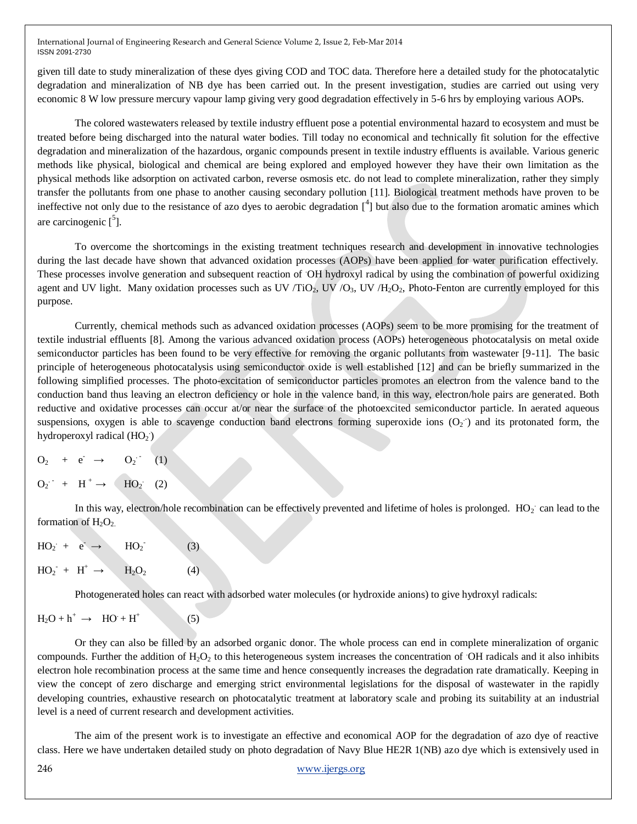given till date to study mineralization of these dyes giving COD and TOC data. Therefore here a detailed study for the photocatalytic degradation and mineralization of NB dye has been carried out. In the present investigation, studies are carried out using very economic 8 W low pressure mercury vapour lamp giving very good degradation effectively in 5-6 hrs by employing various AOPs.

The colored wastewaters released by textile industry effluent pose a potential environmental hazard to ecosystem and must be treated before being discharged into the natural water bodies. Till today no economical and technically fit solution for the effective degradation and mineralization of the hazardous, organic compounds present in textile industry effluents is available. Various generic methods like physical, biological and chemical are being explored and employed however they have their own limitation as the physical methods like adsorption on activated carbon, reverse osmosis etc. do not lead to complete mineralization, rather they simply transfer the pollutants from one phase to another causing secondary pollution [11]. Biological treatment methods have proven to be ineffective not only due to the resistance of azo dyes to aerobic degradation  $\binom{4}{1}$  but also due to the formation aromatic amines which are carcinogenic [5].

To overcome the shortcomings in the existing treatment techniques research and development in innovative technologies during the last decade have shown that advanced oxidation processes (AOPs) have been applied for water purification effectively. These processes involve generation and subsequent reaction of OH hydroxyl radical by using the combination of powerful oxidizing agent and UV light. Many oxidation processes such as UV /TiO<sub>2</sub>, UV /O<sub>3</sub>, UV /H<sub>2</sub>O<sub>2</sub>, Photo-Fenton are currently employed for this purpose.

Currently, chemical methods such as advanced oxidation processes (AOPs) seem to be more promising for the treatment of textile industrial effluents [8]. Among the various advanced oxidation process (AOPs) heterogeneous photocatalysis on metal oxide semiconductor particles has been found to be very effective for removing the organic pollutants from wastewater [9-11]. The basic principle of heterogeneous photocatalysis using semiconductor oxide is well established [12] and can be briefly summarized in the following simplified processes. The photo-excitation of semiconductor particles promotes an electron from the valence band to the conduction band thus leaving an electron deficiency or hole in the valence band, in this way, electron/hole pairs are generated. Both reductive and oxidative processes can occur at/or near the surface of the photoexcited semiconductor particle. In aerated aqueous suspensions, oxygen is able to scavenge conduction band electrons forming superoxide ions  $(O_2)$  and its protonated form, the hydroperoxyl radical  $(HO_2)$ 

$$
O_2 + e^- \rightarrow O_2 \qquad (1)
$$

$$
O_2 + H^+ \rightarrow \quad HO_2 \quad (2)
$$

In this way, electron/hole recombination can be effectively prevented and lifetime of holes is prolonged.  $HO_2$  can lead to the formation of  $H_2O_2$ .

$$
HO2 + e \rightarrow HO2 \qquad (3)
$$
  

$$
HO2 + H+ \rightarrow H2O2 \qquad (4)
$$

Photogenerated holes can react with adsorbed water molecules (or hydroxide anions) to give hydroxyl radicals:

$$
H_2O + h^+ \rightarrow HO + H^+ \tag{5}
$$

Or they can also be filled by an adsorbed organic donor. The whole process can end in complete mineralization of organic compounds. Further the addition of  $H_2O_2$  to this heterogeneous system increases the concentration of OH radicals and it also inhibits electron hole recombination process at the same time and hence consequently increases the degradation rate dramatically. Keeping in view the concept of zero discharge and emerging strict environmental legislations for the disposal of wastewater in the rapidly developing countries, exhaustive research on photocatalytic treatment at laboratory scale and probing its suitability at an industrial level is a need of current research and development activities.

The aim of the present work is to investigate an effective and economical AOP for the degradation of azo dye of reactive class. Here we have undertaken detailed study on photo degradation of Navy Blue HE2R 1(NB) azo dye which is extensively used in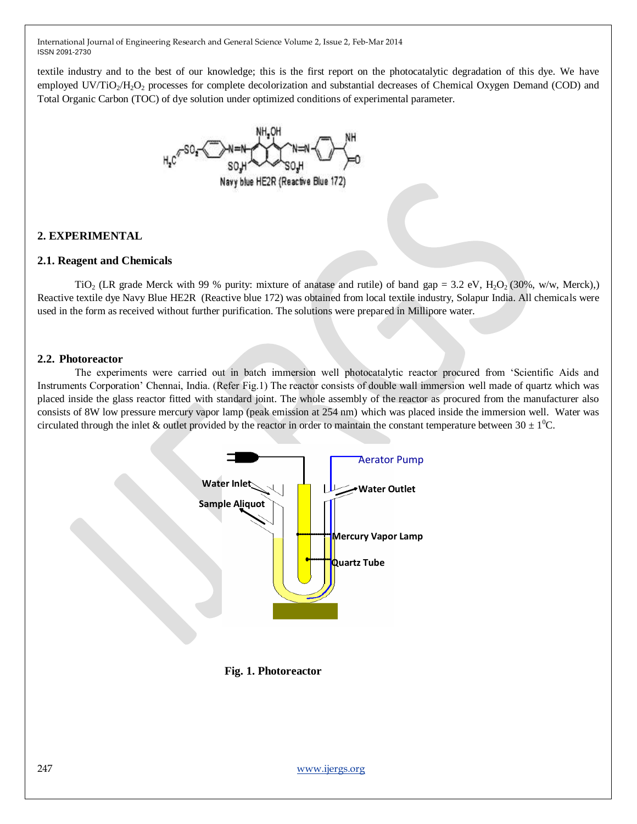textile industry and to the best of our knowledge; this is the first report on the photocatalytic degradation of this dye. We have employed UV/TiO<sub>2</sub>/H<sub>2</sub>O<sub>2</sub> processes for complete decolorization and substantial decreases of Chemical Oxygen Demand (COD) and Total Organic Carbon (TOC) of dye solution under optimized conditions of experimental parameter.



# **2. EXPERIMENTAL**

## **2.1. Reagent and Chemicals**

TiO<sub>2</sub> (LR grade Merck with 99 % purity: mixture of anatase and rutile) of band gap = 3.2 eV, H<sub>2</sub>O<sub>2</sub> (30%, w/w, Merck),) Reactive textile dye Navy Blue HE2R (Reactive blue 172) was obtained from local textile industry, Solapur India. All chemicals were used in the form as received without further purification. The solutions were prepared in Millipore water.

### **2.2. Photoreactor**

The experiments were carried out in batch immersion well photocatalytic reactor procured from "Scientific Aids and Instruments Corporation" Chennai, India. (Refer Fig.1) The reactor consists of double wall immersion well made of quartz which was placed inside the glass reactor fitted with standard joint. The whole assembly of the reactor as procured from the manufacturer also consists of 8W low pressure mercury vapor lamp (peak emission at 254 nm) which was placed inside the immersion well. Water was circulated through the inlet & outlet provided by the reactor in order to maintain the constant temperature between  $30 \pm 1^0$ C.



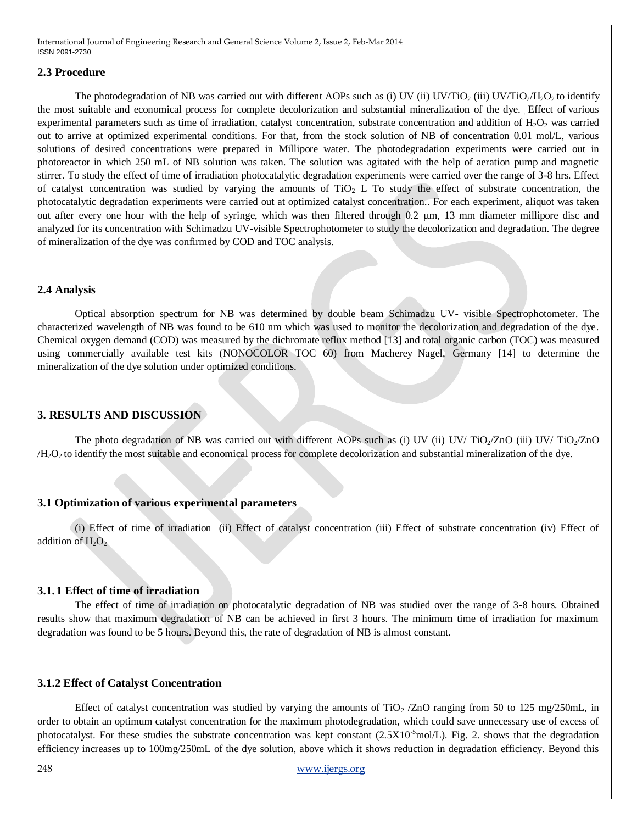### **2.3 Procedure**

The photodegradation of NB was carried out with different AOPs such as (i) UV (ii) UV/TiO<sub>2</sub> (iii) UV/TiO<sub>2</sub>/H<sub>2</sub>O<sub>2</sub> to identify the most suitable and economical process for complete decolorization and substantial mineralization of the dye. . Effect of various experimental parameters such as time of irradiation, catalyst concentration, substrate concentration and addition of  $H_2O_2$  was carried out to arrive at optimized experimental conditions. For that, from the stock solution of NB of concentration 0.01 mol/L, various solutions of desired concentrations were prepared in Millipore water. The photodegradation experiments were carried out in photoreactor in which 250 mL of NB solution was taken. The solution was agitated with the help of aeration pump and magnetic stirrer. To study the effect of time of irradiation photocatalytic degradation experiments were carried over the range of 3-8 hrs. Effect of catalyst concentration was studied by varying the amounts of  $TiO<sub>2</sub>$  L To study the effect of substrate concentration, the photocatalytic degradation experiments were carried out at optimized catalyst concentration.. For each experiment, aliquot was taken out after every one hour with the help of syringe, which was then filtered through 0.2 m, 13 mm diameter millipore disc and analyzed for its concentration with Schimadzu UV-visible Spectrophotometer to study the decolorization and degradation. The degree of mineralization of the dye was confirmed by COD and TOC analysis.

## **2.4 Analysis**

Optical absorption spectrum for NB was determined by double beam Schimadzu UV- visible Spectrophotometer. The characterized wavelength of NB was found to be 610 nm which was used to monitor the decolorization and degradation of the dye. Chemical oxygen demand (COD) was measured by the dichromate reflux method [13] and total organic carbon (TOC) was measured using commercially available test kits (NONOCOLOR TOC 60) from Macherey–Nagel, Germany [14] to determine the mineralization of the dye solution under optimized conditions.

# **3. RESULTS AND DISCUSSION**

The photo degradation of NB was carried out with different AOPs such as (i) UV (ii) UV/ TiO<sub>2</sub>/ZnO (iii) UV/ TiO<sub>2</sub>/ZnO  $/H_2O_2$  to identify the most suitable and economical process for complete decolorization and substantial mineralization of the dye.

### **3.1 Optimization of various experimental parameters**

(i) Effect of time of irradiation (ii) Effect of catalyst concentration (iii) Effect of substrate concentration (iv) Effect of addition of  $H_2O_2$ 

### **3.1.1 Effect of time of irradiation**

 The effect of time of irradiation on photocatalytic degradation of NB was studied over the range of 3-8 hours. Obtained results show that maximum degradation of NB can be achieved in first 3 hours. The minimum time of irradiation for maximum degradation was found to be 5 hours. Beyond this, the rate of degradation of NB is almost constant.

## **3.1.2 Effect of Catalyst Concentration**

Effect of catalyst concentration was studied by varying the amounts of  $TiO<sub>2</sub> / ZnO$  ranging from 50 to 125 mg/250mL, in order to obtain an optimum catalyst concentration for the maximum photodegradation, which could save unnecessary use of excess of photocatalyst. For these studies the substrate concentration was kept constant  $(2.5X10^{-5} \text{mol/L})$ . Fig. 2. shows that the degradation efficiency increases up to 100mg/250mL of the dye solution, above which it shows reduction in degradation efficiency. Beyond this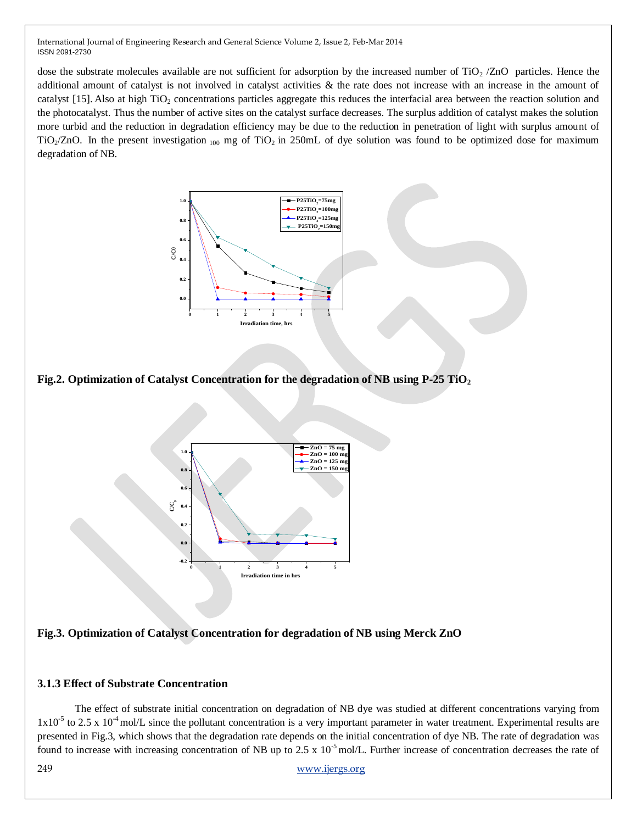dose the substrate molecules available are not sufficient for adsorption by the increased number of  $TiO<sub>2</sub> /ZnO$  particles. Hence the additional amount of catalyst is not involved in catalyst activities & the rate does not increase with an increase in the amount of catalyst  $[15]$ . Also at high TiO<sub>2</sub> concentrations particles aggregate this reduces the interfacial area between the reaction solution and the photocatalyst. Thus the number of active sites on the catalyst surface decreases. The surplus addition of catalyst makes the solution more turbid and the reduction in degradation efficiency may be due to the reduction in penetration of light with surplus amount of  $TiO<sub>2</sub>/ZnO$ . In the present investigation <sub>100</sub> mg of TiO<sub>2</sub> in 250mL of dye solution was found to be optimized dose for maximum degradation of NB.



**Fig.2. Optimization of Catalyst Concentration for the degradation of NB using P-25 TiO<sup>2</sup>**





### **3.1.3 Effect of Substrate Concentration**

The effect of substrate initial concentration on degradation of NB dye was studied at different concentrations varying from  $1x10<sup>-5</sup>$  to 2.5 x 10<sup>-4</sup> mol/L since the pollutant concentration is a very important parameter in water treatment. Experimental results are presented in Fig.3, which shows that the degradation rate depends on the initial concentration of dye NB. The rate of degradation was found to increase with increasing concentration of NB up to 2.5 x  $10^{-5}$  mol/L. Further increase of concentration decreases the rate of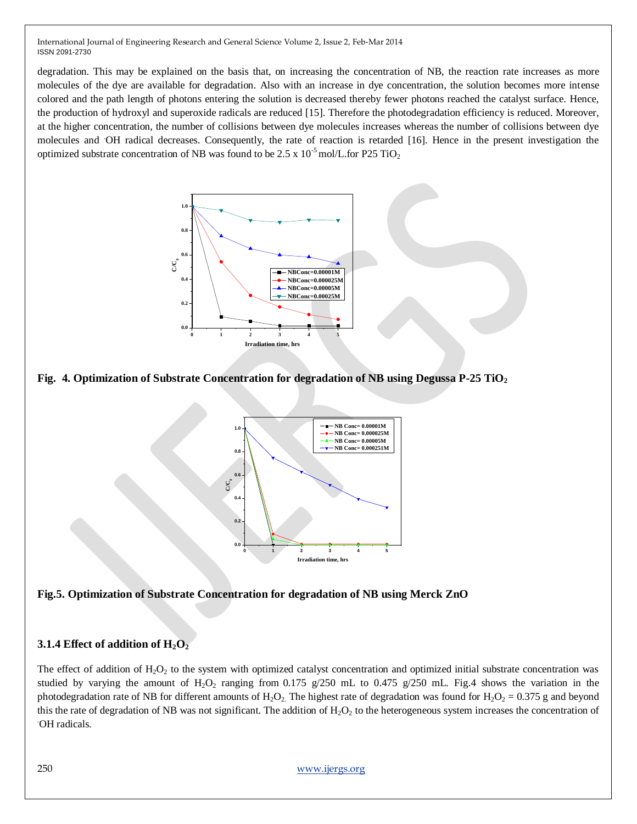degradation. This may be explained on the basis that, on increasing the concentration of NB, the reaction rate increases as more molecules of the dye are available for degradation. Also with an increase in dye concentration, the solution becomes more intense colored and the path length of photons entering the solution is decreased thereby fewer photons reached the catalyst surface. Hence, the production of hydroxyl and superoxide radicals are reduced [15]. Therefore the photodegradation efficiency is reduced. Moreover, at the higher concentration, the number of collisions between dye molecules increases whereas the number of collisions between dye molecules and OH radical decreases. Consequently, the rate of reaction is retarded [16]. Hence in the present investigation the optimized substrate concentration of NB was found to be 2.5 x  $10^{-5}$  mol/L.for P25 TiO<sub>2</sub>



## **Fig. 4. Optimization of Substrate Concentration for degradation of NB using Degussa P-25 TiO<sup>2</sup>**



**Fig.5. Optimization of Substrate Concentration for degradation of NB using Merck ZnO**

# **3.1.4 Effect of addition of H2O<sup>2</sup>**

The effect of addition of  $H_2O_2$  to the system with optimized catalyst concentration and optimized initial substrate concentration was studied by varying the amount of H<sub>2</sub>O<sub>2</sub> ranging from 0.175 g/250 mL to 0.475 g/250 mL. Fig.4 shows the variation in the photodegradation rate of NB for different amounts of  $H_2O_2$ . The highest rate of degradation was found for  $H_2O_2 = 0.375$  g and beyond this the rate of degradation of NB was not significant. The addition of  $H_2O_2$  to the heterogeneous system increases the concentration of .OH radicals.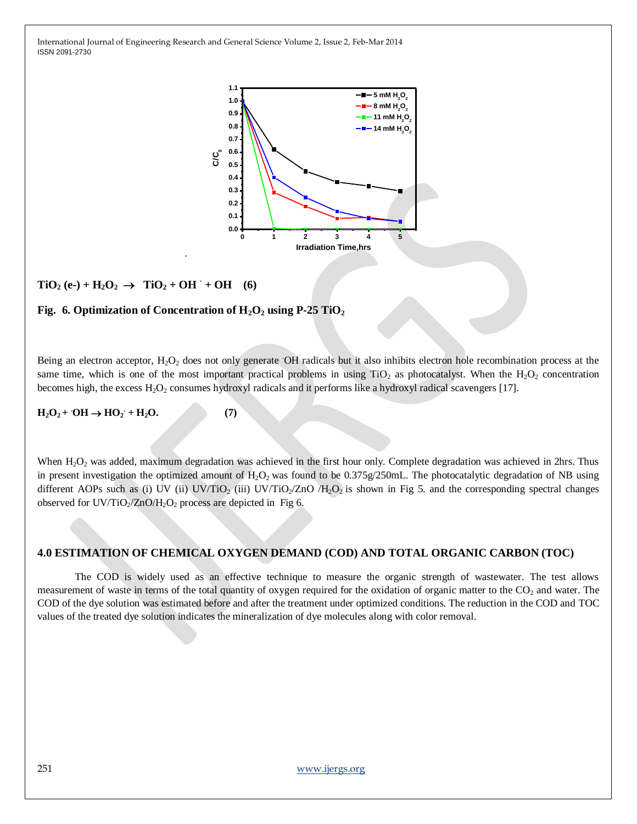

# $\text{TiO}_2$  (e-) +  $\text{H}_2\text{O}_2 \rightarrow \text{TiO}_2 + \text{OH}^+ + \text{OH}^-$  (6)

## **Fig. 6. Optimization of Concentration of**  $H_2O_2$  **using P-25 TiO<sub>2</sub>**

**.** 

Being an electron acceptor,  $H_2O_2$  does not only generate OH radicals but it also inhibits electron hole recombination process at the same time, which is one of the most important practical problems in using  $TiO<sub>2</sub>$  as photocatalyst. When the  $H<sub>2</sub>O<sub>2</sub>$  concentration becomes high, the excess  $H_2O_2$  consumes hydroxyl radicals and it performs like a hydroxyl radical scavengers [17].

 $H_2O_2 + \cdot OH \rightarrow HO_2 + H_2O.$  (7)

When  $H_2O_2$  was added, maximum degradation was achieved in the first hour only. Complete degradation was achieved in 2hrs. Thus in present investigation the optimized amount of  $H_2O_2$  was found to be 0.375g/250mL. The photocatalytic degradation of NB using different AOPs such as (i) UV (ii) UV/TiO<sub>2</sub> (iii) UV/TiO<sub>2</sub>/ZnO /H<sub>2</sub>O<sub>2</sub> is shown in Fig 5. and the corresponding spectral changes observed for UV/TiO<sub>2</sub>/ZnO/H<sub>2</sub>O<sub>2</sub> process are depicted in Fig 6.

## **4.0 ESTIMATION OF CHEMICAL OXYGEN DEMAND (COD) AND TOTAL ORGANIC CARBON (TOC)**

The COD is widely used as an effective technique to measure the organic strength of wastewater. The test allows measurement of waste in terms of the total quantity of oxygen required for the oxidation of organic matter to the  $CO<sub>2</sub>$  and water. The COD of the dye solution was estimated before and after the treatment under optimized conditions. The reduction in the COD and TOC values of the treated dye solution indicates the mineralization of dye molecules along with color removal.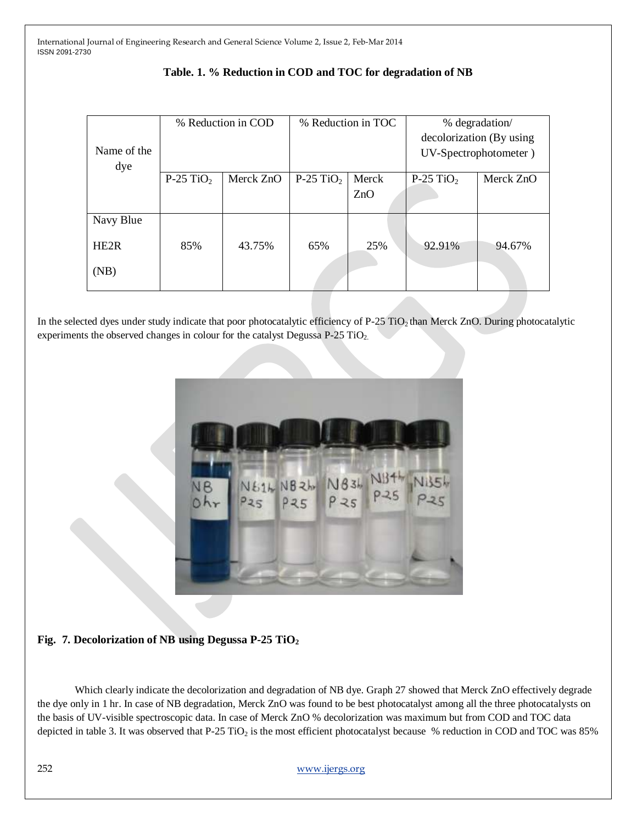| Name of the<br>dye                     | % Reduction in COD    |           | % Reduction in TOC      |              | % degradation/<br>decolorization (By using<br>UV-Spectrophotometer) |           |
|----------------------------------------|-----------------------|-----------|-------------------------|--------------|---------------------------------------------------------------------|-----------|
|                                        | P-25 TiO <sub>2</sub> | Merck ZnO | $P-25$ TiO <sub>2</sub> | Merck<br>ZnO | P-25 $TiO2$                                                         | Merck ZnO |
| Navy Blue<br>HE <sub>2</sub> R<br>(NB) | 85%                   | 43.75%    | 65%                     | 25%          | 92.91%                                                              | 94.67%    |

# **Table. 1. % Reduction in COD and TOC for degradation of NB**

In the selected dyes under study indicate that poor photocatalytic efficiency of P-25 TiO<sub>2</sub> than Merck ZnO. During photocatalytic experiments the observed changes in colour for the catalyst Degussa  $P-25 TiO<sub>2</sub>$ .



## **Fig. 7. Decolorization of NB using Degussa P-25 TiO<sup>2</sup>**

Which clearly indicate the decolorization and degradation of NB dye. Graph 27 showed that Merck ZnO effectively degrade the dye only in 1 hr. In case of NB degradation, Merck ZnO was found to be best photocatalyst among all the three photocatalysts on the basis of UV-visible spectroscopic data. In case of Merck ZnO % decolorization was maximum but from COD and TOC data depicted in table 3. It was observed that P-25 TiO<sub>2</sub> is the most efficient photocatalyst because % reduction in COD and TOC was 85%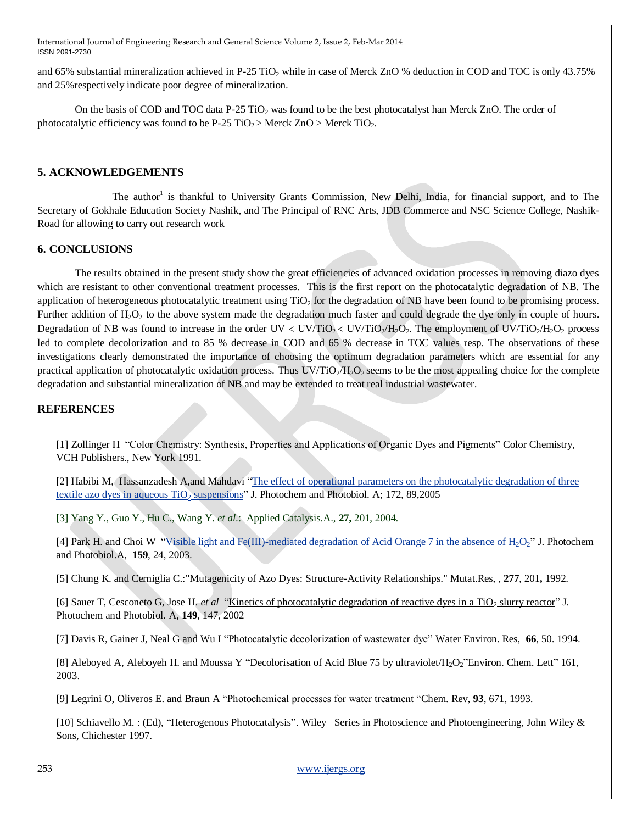and 65% substantial mineralization achieved in P-25 TiO<sub>2</sub> while in case of Merck ZnO % deduction in COD and TOC is only 43.75% and 25%respectively indicate poor degree of mineralization.

On the basis of COD and TOC data  $P-25$  TiO<sub>2</sub> was found to be the best photocatalyst han Merck ZnO. The order of photocatalytic efficiency was found to be  $P-25$  TiO<sub>2</sub> > Merck ZnO > Merck TiO<sub>2</sub>.

# **5. ACKNOWLEDGEMENTS**

The author<sup>1</sup> is thankful to University Grants Commission, New Delhi, India, for financial support, and to The Secretary of Gokhale Education Society Nashik, and The Principal of RNC Arts, JDB Commerce and NSC Science College, Nashik-Road for allowing to carry out research work

# **6. CONCLUSIONS**

The results obtained in the present study show the great efficiencies of advanced oxidation processes in removing diazo dyes which are resistant to other conventional treatment processes. This is the first report on the photocatalytic degradation of NB. The application of heterogeneous photocatalytic treatment using  $TiO<sub>2</sub>$  for the degradation of NB have been found to be promising process. Further addition of  $H_2O_2$  to the above system made the degradation much faster and could degrade the dye only in couple of hours. Degradation of NB was found to increase in the order UV < UV/TiO<sub>2</sub>  $\langle$  UV/TiO<sub>2</sub>/H<sub>2</sub>O<sub>2</sub>. The employment of UV/TiO<sub>2</sub>/H<sub>2</sub>O<sub>2</sub> process led to complete decolorization and to 85 % decrease in COD and 65 % decrease in TOC values resp. The observations of these investigations clearly demonstrated the importance of choosing the optimum degradation parameters which are essential for any practical application of photocatalytic oxidation process. Thus  $UV/TiO<sub>2</sub>/H<sub>2</sub>O<sub>2</sub>$  seems to be the most appealing choice for the complete degradation and substantial mineralization of NB and may be extended to treat real industrial wastewater.

## **REFERENCES**

[1] Zollinger H "Color Chemistry: Synthesis, Properties and Applications of Organic Dyes and Pigments" Color Chemistry, VCH Publishers., New York 1991.

[2] Habibi M, Hassanzadesh A,and Mahdavi ["The effect of operational parameters on the photocatalytic degradation of three](http://www.sciencedirect.com/science/article/pii/S1010603004005210)  textile azo dyes in aqueous  $TiO<sub>2</sub>$  suspensions" J. Photochem and Photobiol. A; 172, 89,2005

[3] Yang Y., Guo Y., Hu C., Wang Y. *et al*.: Applied Catalysis.A., **27,** 201, 2004.

[4] Park H. and Choi W "Visible light and Fe(III)-mediated degradation of Acid Orange 7 in the absence of  $H_2O_2$ " J. Photochem and Photobiol.A, **159**, 24, 2003.

[5] Chung K. and Cerniglia C.:"Mutagenicity of Azo Dyes: Structure-Activity Relationships." Mutat.Res, , **277**, 201**,** 1992.

[6] Sauer T, Cesconeto G, Jose H. *et al* ["Kinetics of photocatalytic degradation of reactive dyes in a TiO](http://www.sciencedirect.com/science/article/pii/S1010603002000151)<sub>2</sub> slurry reactor" J. Photochem and Photobiol. A, **149**, 147, 2002

[7] Davis R, Gainer J, Neal G and Wu I "Photocatalytic decolorization of wastewater dye" Water Environ. Res, **66**, 50. 1994.

[8] Aleboyed A, Aleboyeh H. and Moussa Y "Decolorisation of Acid Blue 75 by ultraviolet/ $H_2O_2$ "Environ. Chem. Lett" 161, 2003.

[9] Legrini O, Oliveros E. and Braun A "Photochemical processes for water treatment "Chem. Rev, **93**, 671, 1993.

[10] Schiavello M. : (Ed), "Heterogenous Photocatalysis". Wiley Series in Photoscience and Photoengineering, John Wiley & Sons, Chichester 1997.